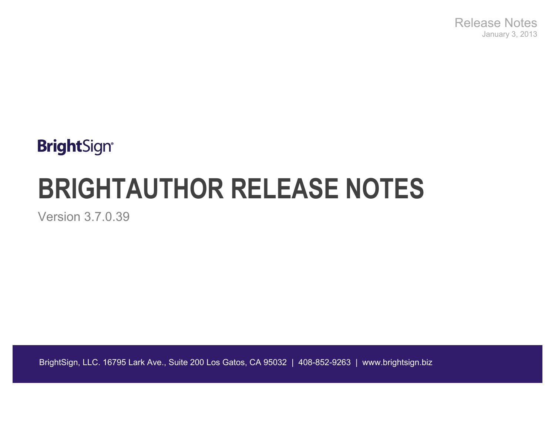Release Notes January 3, 2013

## **BrightSign®**

# **BRIGHTAUTHOR RELEASE NOTES**

Version 3.7.0.39

BrightSign, LLC. 16795 Lark Ave., Suite 200 Los Gatos, CA 95032 | 408-852-9263 | www.brightsign.biz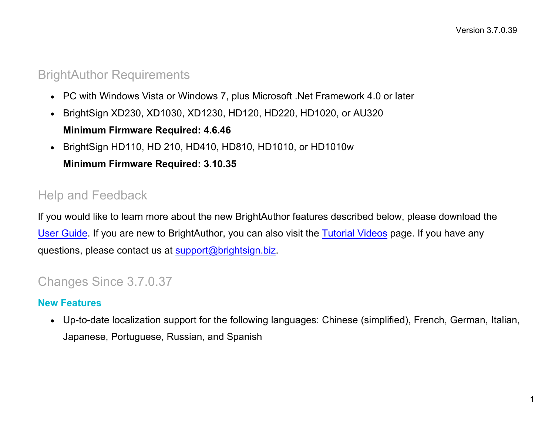## BrightAuthor Requirements

- PC with Windows Vista or Windows 7, plus Microsoft .Net Framework 4.0 or later
- BrightSign XD230, XD1030, XD1230, HD120, HD220, HD1020, or AU320

#### **Minimum Firmware Required: 4.6.46**

• BrightSign HD110, HD 210, HD410, HD810, HD1010, or HD1010w

## **Minimum Firmware Required: 3.10.35**

## Help and Feedback

If you would like to learn more about the new BrightAuthor features described below, please download the [User Guide.](http://support.brightsign.biz/entries/314526-brightsign-user-guides-troubleshooting) If you are new to BrightAuthor, you can also visit the [Tutorial Videos](http://www.brightsign.biz/tutorials.php) page. If you have any questions, please contact us at [support@brightsign.biz.](mailto:support@brightsign.biz)

## Changes Since 3.7.0.37

## **New Features**

• Up-to-date localization support for the following languages: Chinese (simplified), French, German, Italian, Japanese, Portuguese, Russian, and Spanish